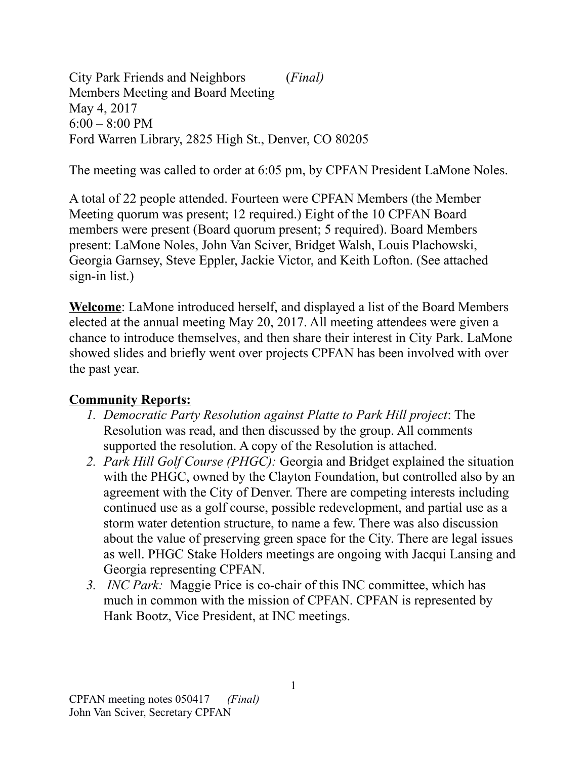City Park Friends and Neighbors (*Final)* Members Meeting and Board Meeting May 4, 2017  $6:00 - 8:00$  PM Ford Warren Library, 2825 High St., Denver, CO 80205

The meeting was called to order at 6:05 pm, by CPFAN President LaMone Noles.

A total of 22 people attended. Fourteen were CPFAN Members (the Member Meeting quorum was present; 12 required.) Eight of the 10 CPFAN Board members were present (Board quorum present; 5 required). Board Members present: LaMone Noles, John Van Sciver, Bridget Walsh, Louis Plachowski, Georgia Garnsey, Steve Eppler, Jackie Victor, and Keith Lofton. (See attached sign-in list.)

**Welcome**: LaMone introduced herself, and displayed a list of the Board Members elected at the annual meeting May 20, 2017. All meeting attendees were given a chance to introduce themselves, and then share their interest in City Park. LaMone showed slides and briefly went over projects CPFAN has been involved with over the past year.

## **Community Reports:**

- *1. Democratic Party Resolution against Platte to Park Hill project*: The Resolution was read, and then discussed by the group. All comments supported the resolution. A copy of the Resolution is attached.
- *2. Park Hill Golf Course (PHGC):* Georgia and Bridget explained the situation with the PHGC, owned by the Clayton Foundation, but controlled also by an agreement with the City of Denver. There are competing interests including continued use as a golf course, possible redevelopment, and partial use as a storm water detention structure, to name a few. There was also discussion about the value of preserving green space for the City. There are legal issues as well. PHGC Stake Holders meetings are ongoing with Jacqui Lansing and Georgia representing CPFAN.
- *3. INC Park:* Maggie Price is co-chair of this INC committee, which has much in common with the mission of CPFAN. CPFAN is represented by Hank Bootz, Vice President, at INC meetings.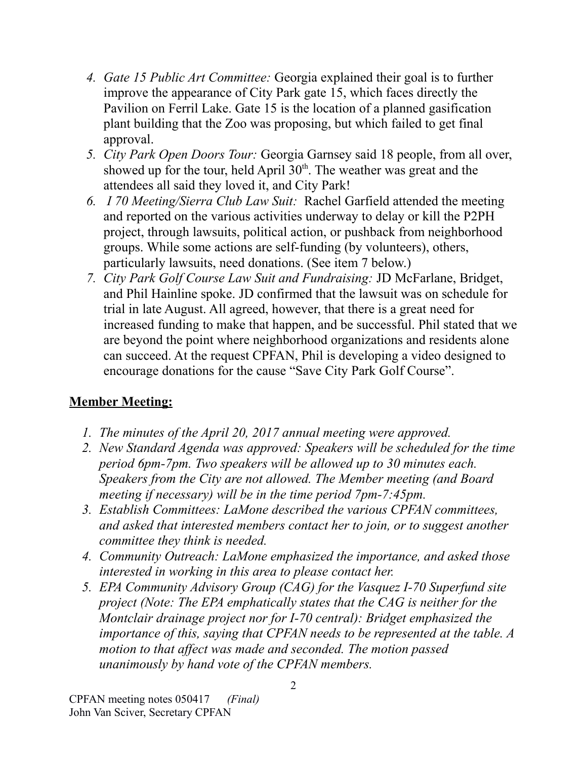- *4. Gate 15 Public Art Committee:* Georgia explained their goal is to further improve the appearance of City Park gate 15, which faces directly the Pavilion on Ferril Lake. Gate 15 is the location of a planned gasification plant building that the Zoo was proposing, but which failed to get final approval.
- *5. City Park Open Doors Tour:* Georgia Garnsey said 18 people, from all over, showed up for the tour, held April  $30<sup>th</sup>$ . The weather was great and the attendees all said they loved it, and City Park!
- *6. I 70 Meeting/Sierra Club Law Suit:* Rachel Garfield attended the meeting and reported on the various activities underway to delay or kill the P2PH project, through lawsuits, political action, or pushback from neighborhood groups. While some actions are self-funding (by volunteers), others, particularly lawsuits, need donations. (See item 7 below.)
- *7. City Park Golf Course Law Suit and Fundraising:* JD McFarlane, Bridget, and Phil Hainline spoke. JD confirmed that the lawsuit was on schedule for trial in late August. All agreed, however, that there is a great need for increased funding to make that happen, and be successful. Phil stated that we are beyond the point where neighborhood organizations and residents alone can succeed. At the request CPFAN, Phil is developing a video designed to encourage donations for the cause "Save City Park Golf Course".

## **Member Meeting:**

- *1. The minutes of the April 20, 2017 annual meeting were approved.*
- *2. New Standard Agenda was approved: Speakers will be scheduled for the time period 6pm-7pm. Two speakers will be allowed up to 30 minutes each. Speakers from the City are not allowed. The Member meeting (and Board meeting if necessary) will be in the time period 7pm-7:45pm.*
- *3. Establish Committees: LaMone described the various CPFAN committees, and asked that interested members contact her to join, or to suggest another committee they think is needed.*
- *4. Community Outreach: LaMone emphasized the importance, and asked those interested in working in this area to please contact her.*
- *5. EPA Community Advisory Group (CAG) for the Vasquez I-70 Superfund site project (Note: The EPA emphatically states that the CAG is neither for the Montclair drainage project nor for I-70 central): Bridget emphasized the importance of this, saying that CPFAN needs to be represented at the table. A motion to that affect was made and seconded. The motion passed unanimously by hand vote of the CPFAN members.*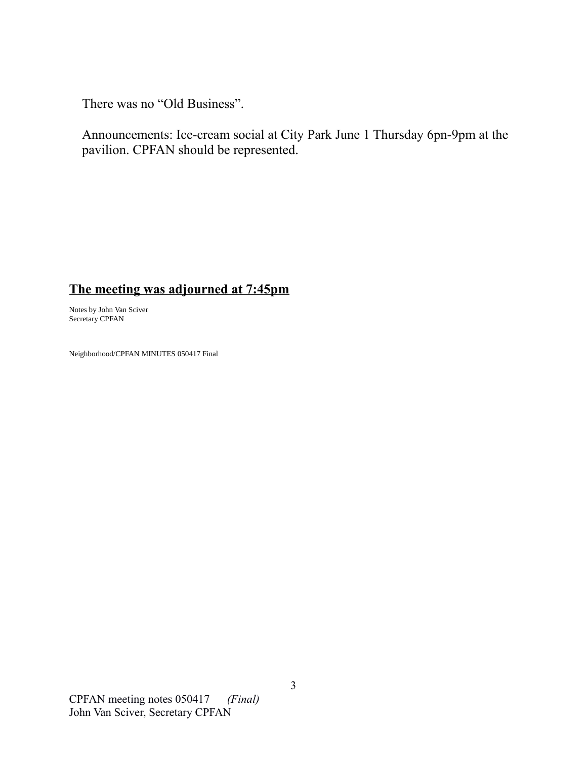There was no "Old Business".

Announcements: Ice-cream social at City Park June 1 Thursday 6pn-9pm at the pavilion. CPFAN should be represented.

## **The meeting was adjourned at 7:45pm**

Notes by John Van Sciver Secretary CPFAN

Neighborhood/CPFAN MINUTES 050417 Final